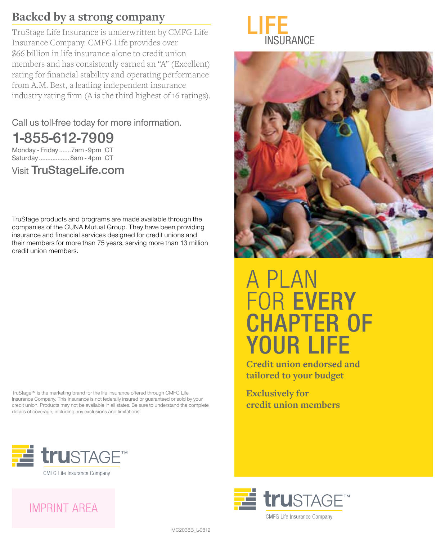#### **Backed by a strong company**

TruStage Life Insurance is underwritten by CMFG Life Insurance Company. CMFG Life provides over \$66 billion in life insurance alone to credit union members and has consistently earned an "A" (Excellent) rating for financial stability and operating performance from A.M. Best, a leading independent insurance industry rating firm (A is the third highest of 16 ratings).

Call us toll-free today for more information.

1-855-612-7909

Monday - Friday .......7am - 9pm CT Saturday ..................8am - 4pm CT

Visit TruStageLife.com

TruStage products and programs are made available through the companies of the CUNA Mutual Group. They have been providing insurance and financial services designed for credit unions and their members for more than 75 years, serving more than 13 million credit union members.

TruStage™ is the marketing brand for the life insurance offered through CMFG Life Insurance Company. This insurance is not federally insured or guaranteed or sold by your credit union. Products may not be available in all states. Be sure to understand the complete details of coverage, including any exclusions and limitations.





# A PLAN FOR EVERY CHAPTER OF YOUR LIFE

**Credit union endorsed and tailored to your budget**

**Exclusively for credit union members**







MC2038B\_L-0812